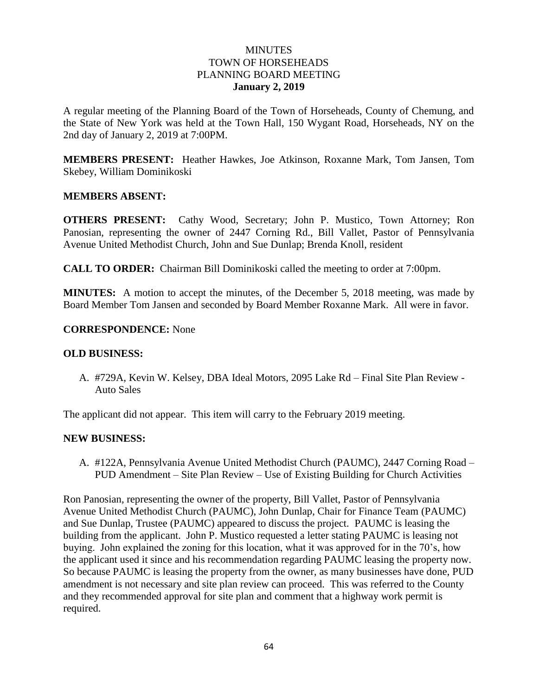## **MINUTES** TOWN OF HORSEHEADS PLANNING BOARD MEETING **January 2, 2019**

A regular meeting of the Planning Board of the Town of Horseheads, County of Chemung, and the State of New York was held at the Town Hall, 150 Wygant Road, Horseheads, NY on the 2nd day of January 2, 2019 at 7:00PM.

**MEMBERS PRESENT:** Heather Hawkes, Joe Atkinson, Roxanne Mark, Tom Jansen, Tom Skebey, William Dominikoski

## **MEMBERS ABSENT:**

**OTHERS PRESENT:** Cathy Wood, Secretary; John P. Mustico, Town Attorney; Ron Panosian, representing the owner of 2447 Corning Rd., Bill Vallet, Pastor of Pennsylvania Avenue United Methodist Church, John and Sue Dunlap; Brenda Knoll, resident

**CALL TO ORDER:** Chairman Bill Dominikoski called the meeting to order at 7:00pm.

**MINUTES:** A motion to accept the minutes, of the December 5, 2018 meeting, was made by Board Member Tom Jansen and seconded by Board Member Roxanne Mark. All were in favor.

## **CORRESPONDENCE:** None

### **OLD BUSINESS:**

A. #729A, Kevin W. Kelsey, DBA Ideal Motors, 2095 Lake Rd – Final Site Plan Review - Auto Sales

The applicant did not appear. This item will carry to the February 2019 meeting.

#### **NEW BUSINESS:**

A. #122A, Pennsylvania Avenue United Methodist Church (PAUMC), 2447 Corning Road – PUD Amendment – Site Plan Review – Use of Existing Building for Church Activities

Ron Panosian, representing the owner of the property, Bill Vallet, Pastor of Pennsylvania Avenue United Methodist Church (PAUMC), John Dunlap, Chair for Finance Team (PAUMC) and Sue Dunlap, Trustee (PAUMC) appeared to discuss the project. PAUMC is leasing the building from the applicant. John P. Mustico requested a letter stating PAUMC is leasing not buying. John explained the zoning for this location, what it was approved for in the 70's, how the applicant used it since and his recommendation regarding PAUMC leasing the property now. So because PAUMC is leasing the property from the owner, as many businesses have done, PUD amendment is not necessary and site plan review can proceed. This was referred to the County and they recommended approval for site plan and comment that a highway work permit is required.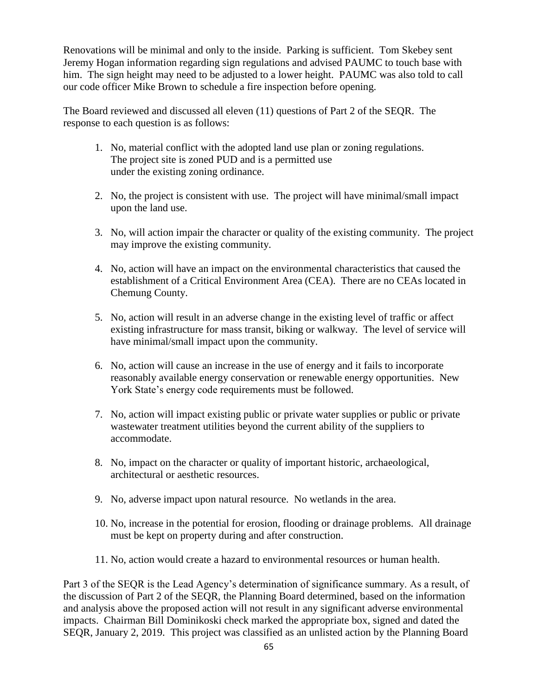Renovations will be minimal and only to the inside. Parking is sufficient. Tom Skebey sent Jeremy Hogan information regarding sign regulations and advised PAUMC to touch base with him. The sign height may need to be adjusted to a lower height. PAUMC was also told to call our code officer Mike Brown to schedule a fire inspection before opening.

The Board reviewed and discussed all eleven (11) questions of Part 2 of the SEQR. The response to each question is as follows:

- 1. No, material conflict with the adopted land use plan or zoning regulations. The project site is zoned PUD and is a permitted use under the existing zoning ordinance.
- 2. No, the project is consistent with use. The project will have minimal/small impact upon the land use.
- 3. No, will action impair the character or quality of the existing community. The project may improve the existing community.
- 4. No, action will have an impact on the environmental characteristics that caused the establishment of a Critical Environment Area (CEA). There are no CEAs located in Chemung County.
- 5. No, action will result in an adverse change in the existing level of traffic or affect existing infrastructure for mass transit, biking or walkway. The level of service will have minimal/small impact upon the community.
- 6. No, action will cause an increase in the use of energy and it fails to incorporate reasonably available energy conservation or renewable energy opportunities. New York State's energy code requirements must be followed.
- 7. No, action will impact existing public or private water supplies or public or private wastewater treatment utilities beyond the current ability of the suppliers to accommodate.
- 8. No, impact on the character or quality of important historic, archaeological, architectural or aesthetic resources.
- 9. No, adverse impact upon natural resource. No wetlands in the area.
- 10. No, increase in the potential for erosion, flooding or drainage problems. All drainage must be kept on property during and after construction.
- 11. No, action would create a hazard to environmental resources or human health.

Part 3 of the SEQR is the Lead Agency's determination of significance summary. As a result, of the discussion of Part 2 of the SEQR, the Planning Board determined, based on the information and analysis above the proposed action will not result in any significant adverse environmental impacts. Chairman Bill Dominikoski check marked the appropriate box, signed and dated the SEQR, January 2, 2019. This project was classified as an unlisted action by the Planning Board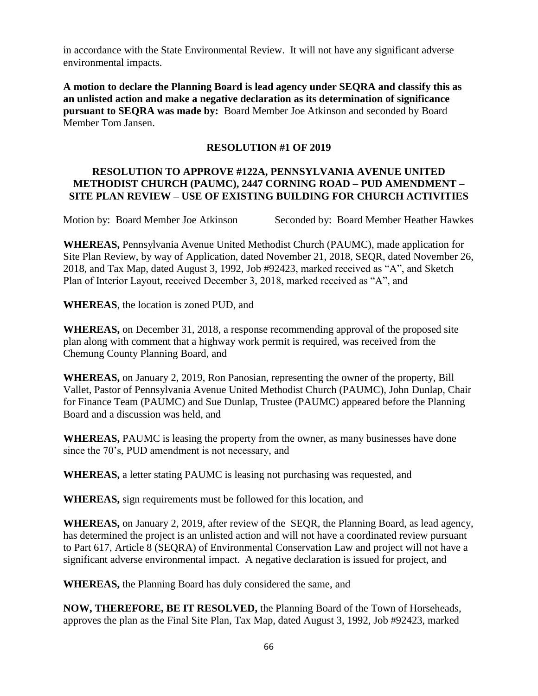in accordance with the State Environmental Review. It will not have any significant adverse environmental impacts.

**A motion to declare the Planning Board is lead agency under SEQRA and classify this as an unlisted action and make a negative declaration as its determination of significance pursuant to SEQRA was made by:** Board Member Joe Atkinson and seconded by Board Member Tom Jansen.

# **RESOLUTION #1 OF 2019**

# **RESOLUTION TO APPROVE #122A, PENNSYLVANIA AVENUE UNITED METHODIST CHURCH (PAUMC), 2447 CORNING ROAD – PUD AMENDMENT – SITE PLAN REVIEW – USE OF EXISTING BUILDING FOR CHURCH ACTIVITIES**

Motion by: Board Member Joe Atkinson Seconded by: Board Member Heather Hawkes

**WHEREAS,** Pennsylvania Avenue United Methodist Church (PAUMC), made application for Site Plan Review, by way of Application, dated November 21, 2018, SEQR, dated November 26, 2018, and Tax Map, dated August 3, 1992, Job #92423, marked received as "A", and Sketch Plan of Interior Layout, received December 3, 2018, marked received as "A", and

**WHEREAS**, the location is zoned PUD, and

**WHEREAS,** on December 31, 2018, a response recommending approval of the proposed site plan along with comment that a highway work permit is required, was received from the Chemung County Planning Board, and

**WHEREAS,** on January 2, 2019, Ron Panosian, representing the owner of the property, Bill Vallet, Pastor of Pennsylvania Avenue United Methodist Church (PAUMC), John Dunlap, Chair for Finance Team (PAUMC) and Sue Dunlap, Trustee (PAUMC) appeared before the Planning Board and a discussion was held, and

**WHEREAS,** PAUMC is leasing the property from the owner, as many businesses have done since the 70's, PUD amendment is not necessary, and

**WHEREAS,** a letter stating PAUMC is leasing not purchasing was requested, and

**WHEREAS,** sign requirements must be followed for this location, and

**WHEREAS,** on January 2, 2019, after review of the SEQR, the Planning Board, as lead agency, has determined the project is an unlisted action and will not have a coordinated review pursuant to Part 617, Article 8 (SEQRA) of Environmental Conservation Law and project will not have a significant adverse environmental impact. A negative declaration is issued for project, and

**WHEREAS,** the Planning Board has duly considered the same, and

**NOW, THEREFORE, BE IT RESOLVED,** the Planning Board of the Town of Horseheads, approves the plan as the Final Site Plan, Tax Map, dated August 3, 1992, Job #92423, marked